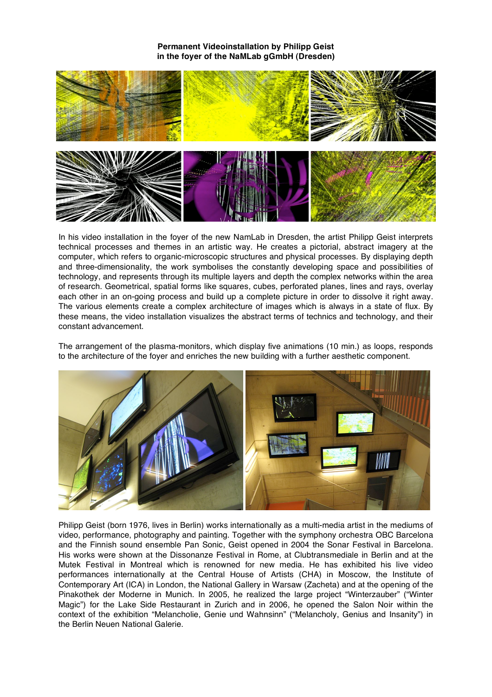

In his video installation in the foyer of the new NamLab in Dresden, the artist Philipp Geist interprets technical processes and themes in an artistic way. He creates a pictorial, abstract imagery at the computer, which refers to organic-microscopic structures and physical processes. By displaying depth and three-dimensionality, the work symbolises the constantly developing space and possibilities of technology, and represents through its multiple layers and depth the complex networks within the area of research. Geometrical, spatial forms like squares, cubes, perforated planes, lines and rays, overlay each other in an on-going process and build up a complete picture in order to dissolve it right away. The various elements create a complex architecture of images which is always in a state of flux. By these means, the video installation visualizes the abstract terms of technics and technology, and their constant advancement.

The arrangement of the plasma-monitors, which display five animations (10 min.) as loops, responds to the architecture of the foyer and enriches the new building with a further aesthetic component.



Philipp Geist (born 1976, lives in Berlin) works internationally as a multi-media artist in the mediums of video, performance, photography and painting. Together with the symphony orchestra OBC Barcelona and the Finnish sound ensemble Pan Sonic, Geist opened in 2004 the Sonar Festival in Barcelona. His works were shown at the Dissonanze Festival in Rome, at Clubtransmediale in Berlin and at the Mutek Festival in Montreal which is renowned for new media. He has exhibited his live video performances internationally at the Central House of Artists (CHA) in Moscow, the Institute of Contemporary Art (ICA) in London, the National Gallery in Warsaw (Zacheta) and at the opening of the Pinakothek der Moderne in Munich. In 2005, he realized the large project "Winterzauber" ("Winter Magic") for the Lake Side Restaurant in Zurich and in 2006, he opened the Salon Noir within the context of the exhibition "Melancholie, Genie und Wahnsinn" ("Melancholy, Genius and Insanity") in the Berlin Neuen National Galerie.